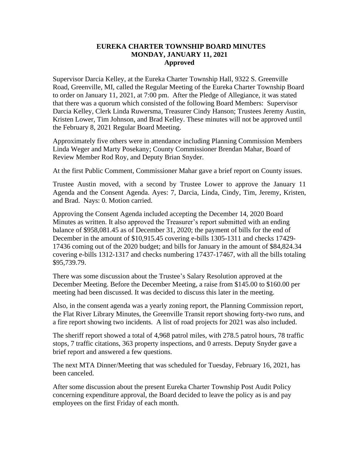## **EUREKA CHARTER TOWNSHIP BOARD MINUTES MONDAY, JANUARY 11, 2021 Approved**

Supervisor Darcia Kelley, at the Eureka Charter Township Hall, 9322 S. Greenville Road, Greenville, MI, called the Regular Meeting of the Eureka Charter Township Board to order on January 11, 2021, at 7:00 pm. After the Pledge of Allegiance, it was stated that there was a quorum which consisted of the following Board Members: Supervisor Darcia Kelley, Clerk Linda Ruwersma, Treasurer Cindy Hanson; Trustees Jeremy Austin, Kristen Lower, Tim Johnson, and Brad Kelley. These minutes will not be approved until the February 8, 2021 Regular Board Meeting.

Approximately five others were in attendance including Planning Commission Members Linda Weger and Marty Posekany; County Commissioner Brendan Mahar, Board of Review Member Rod Roy, and Deputy Brian Snyder.

At the first Public Comment, Commissioner Mahar gave a brief report on County issues.

Trustee Austin moved, with a second by Trustee Lower to approve the January 11 Agenda and the Consent Agenda. Ayes: 7, Darcia, Linda, Cindy, Tim, Jeremy, Kristen, and Brad. Nays: 0. Motion carried.

Approving the Consent Agenda included accepting the December 14, 2020 Board Minutes as written. It also approved the Treasurer's report submitted with an ending balance of \$958,081.45 as of December 31, 2020; the payment of bills for the end of December in the amount of \$10,915.45 covering e-bills 1305-1311 and checks 17429- 17436 coming out of the 2020 budget; and bills for January in the amount of \$84,824.34 covering e-bills 1312-1317 and checks numbering 17437-17467, with all the bills totaling \$95,739.79.

There was some discussion about the Trustee's Salary Resolution approved at the December Meeting. Before the December Meeting, a raise from \$145.00 to \$160.00 per meeting had been discussed. It was decided to discuss this later in the meeting.

Also, in the consent agenda was a yearly zoning report, the Planning Commission report, the Flat River Library Minutes, the Greenville Transit report showing forty-two runs, and a fire report showing two incidents. A list of road projects for 2021 was also included.

The sheriff report showed a total of 4,968 patrol miles, with 278.5 patrol hours, 78 traffic stops, 7 traffic citations, 363 property inspections, and 0 arrests. Deputy Snyder gave a brief report and answered a few questions.

The next MTA Dinner/Meeting that was scheduled for Tuesday, February 16, 2021, has been canceled.

After some discussion about the present Eureka Charter Township Post Audit Policy concerning expenditure approval, the Board decided to leave the policy as is and pay employees on the first Friday of each month.